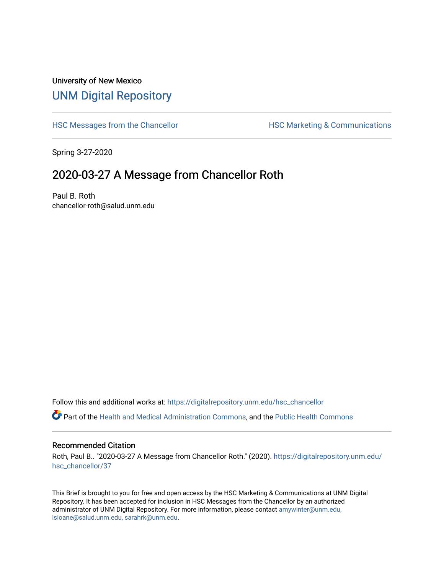## University of New Mexico [UNM Digital Repository](https://digitalrepository.unm.edu/)

[HSC Messages from the Chancellor](https://digitalrepository.unm.edu/hsc_chancellor) **HSC Marketing & Communications** 

Spring 3-27-2020

## 2020-03-27 A Message from Chancellor Roth

Paul B. Roth chancellor-roth@salud.unm.edu

Follow this and additional works at: [https://digitalrepository.unm.edu/hsc\\_chancellor](https://digitalrepository.unm.edu/hsc_chancellor?utm_source=digitalrepository.unm.edu%2Fhsc_chancellor%2F37&utm_medium=PDF&utm_campaign=PDFCoverPages) 

Part of the [Health and Medical Administration Commons](http://network.bepress.com/hgg/discipline/663?utm_source=digitalrepository.unm.edu%2Fhsc_chancellor%2F37&utm_medium=PDF&utm_campaign=PDFCoverPages), and the [Public Health Commons](http://network.bepress.com/hgg/discipline/738?utm_source=digitalrepository.unm.edu%2Fhsc_chancellor%2F37&utm_medium=PDF&utm_campaign=PDFCoverPages) 

## Recommended Citation

Roth, Paul B.. "2020-03-27 A Message from Chancellor Roth." (2020). [https://digitalrepository.unm.edu/](https://digitalrepository.unm.edu/hsc_chancellor/37?utm_source=digitalrepository.unm.edu%2Fhsc_chancellor%2F37&utm_medium=PDF&utm_campaign=PDFCoverPages) [hsc\\_chancellor/37](https://digitalrepository.unm.edu/hsc_chancellor/37?utm_source=digitalrepository.unm.edu%2Fhsc_chancellor%2F37&utm_medium=PDF&utm_campaign=PDFCoverPages) 

This Brief is brought to you for free and open access by the HSC Marketing & Communications at UNM Digital Repository. It has been accepted for inclusion in HSC Messages from the Chancellor by an authorized administrator of UNM Digital Repository. For more information, please contact [amywinter@unm.edu,](mailto:amywinter@unm.edu,%20lsloane@salud.unm.edu,%20sarahrk@unm.edu) [lsloane@salud.unm.edu, sarahrk@unm.edu.](mailto:amywinter@unm.edu,%20lsloane@salud.unm.edu,%20sarahrk@unm.edu)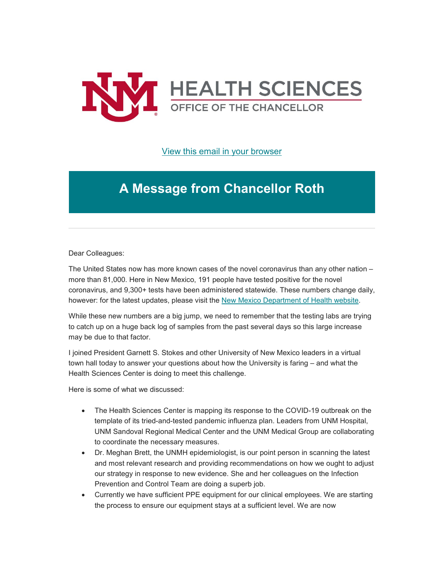

[View this email in your browser](https://mailchi.mp/6292c0bae30d/message-from-the-chancellor-coronavirus-4360200?e=b4bbfca2c0)

## **A Message from Chancellor Roth**

Dear Colleagues:

The United States now has more known cases of the novel coronavirus than any other nation – more than 81,000. Here in New Mexico, 191 people have tested positive for the novel coronavirus, and 9,300+ tests have been administered statewide. These numbers change daily, however: for the latest updates, please visit the [New Mexico Department of Health website.](https://unm.us19.list-manage.com/track/click?u=59ce53c1a4dedb490bac78648&id=65563496aa&e=b4bbfca2c0)

While these new numbers are a big jump, we need to remember that the testing labs are trying to catch up on a huge back log of samples from the past several days so this large increase may be due to that factor.

I joined President Garnett S. Stokes and other University of New Mexico leaders in a virtual town hall today to answer your questions about how the University is faring – and what the Health Sciences Center is doing to meet this challenge.

Here is some of what we discussed:

- The Health Sciences Center is mapping its response to the COVID-19 outbreak on the template of its tried-and-tested pandemic influenza plan. Leaders from UNM Hospital, UNM Sandoval Regional Medical Center and the UNM Medical Group are collaborating to coordinate the necessary measures.
- Dr. Meghan Brett, the UNMH epidemiologist, is our point person in scanning the latest and most relevant research and providing recommendations on how we ought to adjust our strategy in response to new evidence. She and her colleagues on the Infection Prevention and Control Team are doing a superb job.
- Currently we have sufficient PPE equipment for our clinical employees. We are starting the process to ensure our equipment stays at a sufficient level. We are now